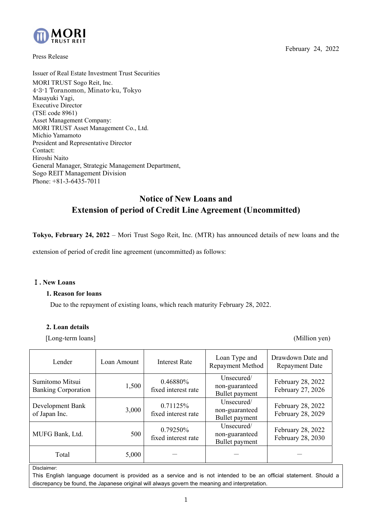

Press Release

February 24, 2022

Issuer of Real Estate Investment Trust Securities MORI TRUST Sogo Reit, Inc. 4-3-1 Toranomon, Minato-ku, Tokyo Masayuki Yagi, Executive Director (TSE code 8961) Asset Management Company: MORI TRUST Asset Management Co., Ltd. Michio Yamamoto President and Representative Director Contact: Hiroshi Naito General Manager, Strategic Management Department, Sogo REIT Management Division Phone: +81-3-6435-7011

# **Notice of New Loans and Extension of period of Credit Line Agreement (Uncommitted)**

**Tokyo, February 24, 2022** – Mori Trust Sogo Reit, Inc. (MTR) has announced details of new loans and the

extension of period of credit line agreement (uncommitted) as follows:

#### Ⅰ**. New Loans**

#### **1. Reason for loans**

Due to the repayment of existing loans, which reach maturity February 28, 2022.

#### **2. Loan details**

[Long-term loans] (Million yen)

| Lender                                        | Loan Amount | <b>Interest Rate</b>            | Loan Type and<br>Repayment Method              | Drawdown Date and<br><b>Repayment Date</b> |
|-----------------------------------------------|-------------|---------------------------------|------------------------------------------------|--------------------------------------------|
| Sumitomo Mitsui<br><b>Banking Corporation</b> | 1,500       | 0.46880%<br>fixed interest rate | Unsecured/<br>non-guaranteed<br>Bullet payment | February 28, 2022<br>February 27, 2026     |
| Development Bank<br>of Japan Inc.             | 3,000       | 0.71125%<br>fixed interest rate | Unsecured/<br>non-guaranteed<br>Bullet payment | February 28, 2022<br>February 28, 2029     |
| MUFG Bank, Ltd.                               | 500         | 0.79250%<br>fixed interest rate | Unsecured/<br>non-guaranteed<br>Bullet payment | February 28, 2022<br>February 28, 2030     |
| Total                                         | 5,000       |                                 |                                                |                                            |

Disclaimer:

This English language document is provided as a service and is not intended to be an official statement. Should a discrepancy be found, the Japanese original will always govern the meaning and interpretation.